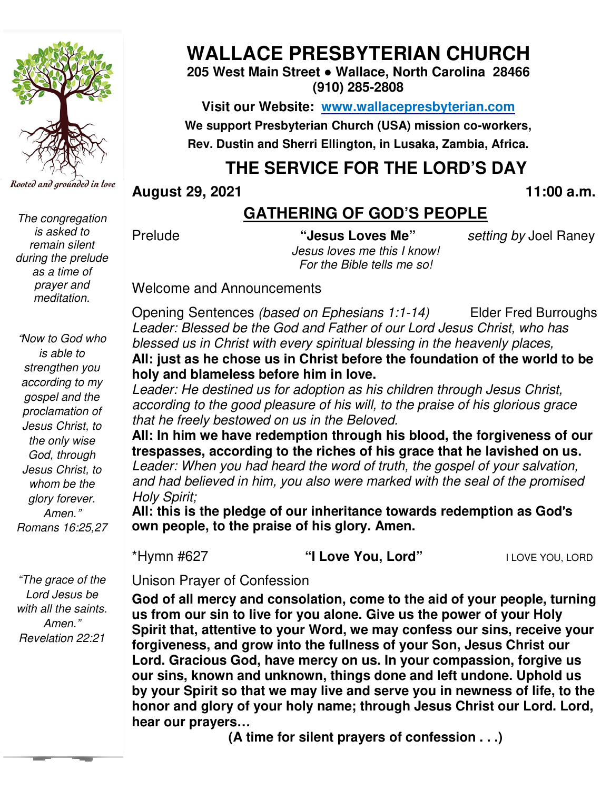

Rooted and grounded in love

*The congregation is asked to remain silent during the prelude as a time of prayer and meditation.* 

"*Now to God who is able to strengthen you according to my gospel and the proclamation of Jesus Christ, to the only wise God, through Jesus Christ, to whom be the glory forever. Amen.*" *Romans 16:25,27* 

*"The grace of the Lord Jesus be with all the saints. Amen." Revelation 22:21*

# **WALLACE PRESBYTERIAN CHURCH**

**205 West Main Street ● Wallace, North Carolina 28466 (910) 285-2808** 

**Visit our Website: www.wallacepresbyterian.com** We support Presbyterian Church (USA) mission co-workers, Rev. Dustin and Sherri Ellington, in Lusaka, Zambia, Africa.

# **THE SERVICE FOR THE LORD'S DAY**

**August 29, 2021** 

**, 11:00 a.m**

### **GATHERING OF GOD'S PEOPLE**

Prelude

"Jesus Loves Me" *Jesus loves me this I know! For the Bible tells me so!* 

setting by Joel Raney

Welcome and Announcem and Announcements

Unison Prayer of Confession Unison Prayer of

**hear our prayers…** 

Opening Sentences *(based on Ephesians 1:1 Leader: Blessed be the God and Father of our Lord Jesus Christ, who has*  Leader: Blessed be the God and Father of our Lord Jesus Christ, who h<br>blessed us in Christ with every spiritual blessing in the heavenly places, All: just as he chose us in Christ before the foundation of the world to be **holy and blameless before him in love.** *Elder Fred Burroughs be the God and Father of our Lord Jesus Christ, who has rist with every spiritual blessing in the heavenly places, hose us in Christ before the foundation of the world to less before him in love.*<br>*hose us in Christ befor* 

*Leader: He destined us for adoption as his children through Jesus Christ, according to the good pleasure of his will, to the praise of his glorious grac that he freely bestowed on us in the Beloved. : He destined us for adoption a*<br>ing to the good pleasure of his<br>freely bestowed on us in the B

**All: In him we have redemption through his blood, the forgiveness of our**  All: In him we have redemption through his blood, the forgiveness of o**u**<br>trespasses, according to the riches of his grace that he lavished on us. Leader: When you had heard the word of truth, the gospel of your salvation, Leader: When you had heard the word of truth, the gospel of your salvation,<br>and had believed in him, you also were marked with the seal of the promised *Holy Spirit;* 11:00 a.m.<br>
<u>GATHERING OF GOD'S PEOPLE</u><br>
<sup>11:00</sup> a.m.<br>
<br>
sing, by Joel Raney<br>
<br>
sins, lowes me this *l knowl*<br>
For the Bible tells me sol!<br>
For the Bible tells me sol!<br>
<br>
tells are sol the God and Father of our Lord Jesus

**All: this is the pledge of our inheritance towards redemption as God** '**s**  All: this is the pledge of our inheritance towar<br>own people, to the praise of his glory. Amen.

\*Hymn #627

"I Love You, Lord"

**God of all mercy and consolation, come to the aid of your people, turning** 

**us from our sin to live for you alone. Give us the power of your Holy**  God of all mercy and consolation, come to the aid of your people, turning<br>us from our sin to live for you alone. Give us the power of your Holy<br>Spirit that, attentive to your Word, we may confess our sins, receive your

**forgiveness, and grow into the fullness of your Son, Jesus Christ our Lord. Gracious God, have mercy on us. In your compassion, forgive us our sins, known and unknown, things done and left undone. Uphold us by your Spirit so that we may live and serve you in newness of life, to the honor and glory of your holy name; through Jesus Christ our Lord. Lord,** 

God of all mercy and consolation, come to the aid of<br>us from our sin to live for you alone. Give us the pow<br>Spirit that, attentive to your Word, we may confess ot<br>forgiveness, and grow into the fullness of your Son,<br>Lord.

**I LOVE YOU, LORD** 

**(A time for silent prayers of confession . . .)**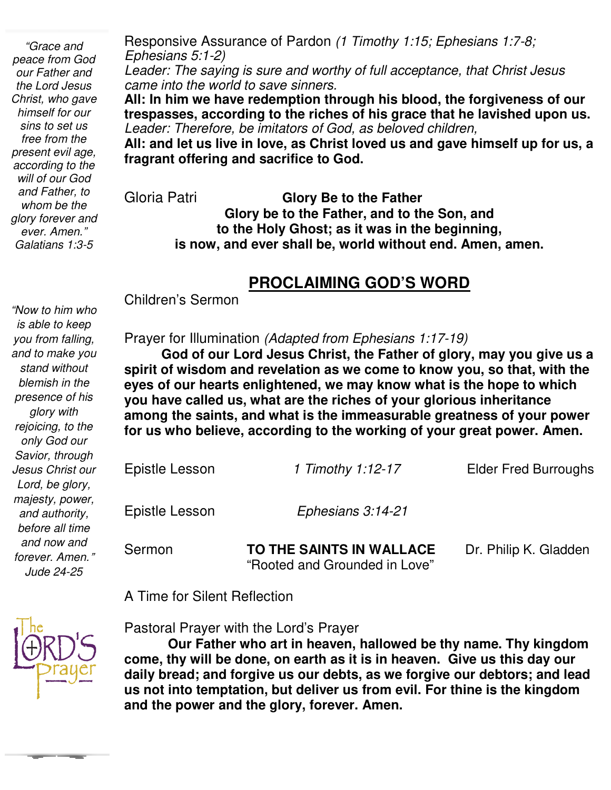*"Grace and peace from God our Father and the Lord Jesus Christ, who gave himself for our sins to set us free from the present evil age, according to the will of our God and Father, to whom be the glory forever and ever. Amen." Galatians 1:3-5* 

Responsive Assurance of Pardon *(1 Timothy 1:15; Ephesians 1:7-8; Ephesians 5:1-2) Leader: The saying is sure and worthy of full acceptance, that Christ Jesus came into the world to save sinners.* 

**All: In him we have redemption through his blood, the forgiveness of our trespasses, according to the riches of his grace that he lavished upon us.** *Leader: Therefore, be imitators of God, as beloved children,*  **All: and let us live in love, as Christ loved us and gave himself up for us, a** 

**fragrant offering and sacrifice to God.**

Gloria Patri **Glory Be to the Father Glory be to the Father, and to the Son, and to the Holy Ghost; as it was in the beginning, is now, and ever shall be, world without end. Amen, amen.** 

#### **PROCLAIMING GOD'S WORD**

Children's Sermon

*"Now to him who is able to keep you from falling, and to make you stand without blemish in the presence of his glory with rejoicing, to the only God our Savior, through Jesus Christ our Lord, be glory, majesty, power, and authority, before all time and now and forever. Amen.*" *Jude 24-25* 

Prayer for Illumination *(Adapted from Ephesians 1:17-19)*

 **God of our Lord Jesus Christ, the Father of glory, may you give us a spirit of wisdom and revelation as we come to know you, so that, with the eyes of our hearts enlightened, we may know what is the hope to which you have called us, what are the riches of your glorious inheritance among the saints, and what is the immeasurable greatness of your power for us who believe, according to the working of your great power. Amen.** 

| Epistle Lesson | 1 Timothy 1:12-17                                         | <b>Elder Fred Burroughs</b> |
|----------------|-----------------------------------------------------------|-----------------------------|
| Epistle Lesson | Ephesians 3:14-21                                         |                             |
| Sermon         | TO THE SAINTS IN WALLACE<br>"Rooted and Grounded in Love" | Dr. Philip K. Gladden       |

A Time for Silent Reflection



Pastoral Prayer with the Lord's Prayer

**Our Father who art in heaven, hallowed be thy name. Thy kingdom come, thy will be done, on earth as it is in heaven. Give us this day our daily bread; and forgive us our debts, as we forgive our debtors; and lead us not into temptation, but deliver us from evil. For thine is the kingdom and the power and the glory, forever. Amen.**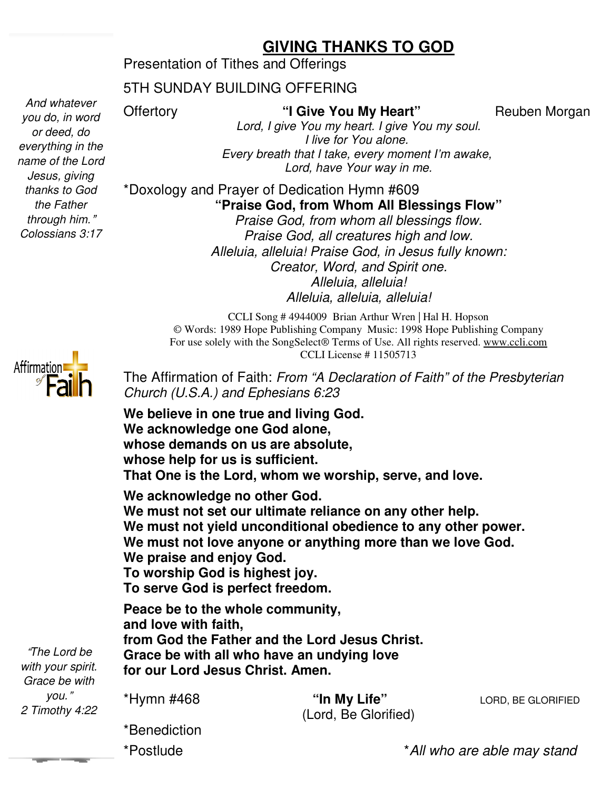#### **GIVING THANKS TO GOD**

Presentation of Tithes and Offerings

#### 5TH SUNDAY BUILDING OFFERING Ĭ

**Offertory** 

*And whatever you do, in word or deed, do everything in the name of the Lord Jesus, giving thanks to God the Father through him.*" *Colossians 3:17* 

"I Give You My Heart" Reuben Morgan

*Lord, I give You my heart. I give You my soul. Lord, I I live for You alone. Every breath that I take, every moment I'm awake, Lord, have Your way in me.* 

\*Doxology and Prayer of Dedication Dedication Hymn #609 **"Praise God, from Whom All Bless All Blessings Flow"** 

*Praise God, from whom all blessings flow. Praise God, all creatures high and low. Alleluia, alleluia! alleluia! Praise God, in Jesus fully known: Creator, Word, and Spirit one. Alleluia, alleluia! Alleluia, alleluia, alleluia!* 

CCLI Song # 4944009 Brian Arthur Wren | Hal H. Hopson © Words: 1989 Hope Publishing Company Music: 1998 Hope Publishing Company © Words: 1989 Hope Publishing Company Music: 1998 Hope Publishing Company For use solely with the SongSelect® Terms of Use. All rights reserved. www.ccli.com CCLI License # 11505713



The Affirmation of Faith: *From "A Declaration of Faith" of the Presbyterian Declaration From the Church (U.S.A.) and Ephesians 6:23*

**We believe in one true and living God. We acknowledge one God alone, whose demands on us are absolute, whose help for us is sufficient. That One is the Lord, whom we worship, serve, and love.**

**We acknowledge no other God. We must not set our ultimate reliance on any other help. We must not yield unconditional obedience to any other power. We must not love anyone or anything more than we love God. We praise and enjoy God. To worship God is highest joy. To serve God is perfect freedom.** We believe in one true and living God.<br>We acknowledge one God alone,<br>whose demands on us are absolute,<br>whose help for us is sufficient.<br>That One is the Lord, whom we worsh<br>We acknowledge no other God.<br>We must not set our u

**Peace be to the whole community, and love with faith, from God the Father and the Lord Jesus Christ. Grace be with all who have an undying love for our Lord Jesus Christ. Amen**

"*The Lord be with your spirit. Grace be with you.*" *2 Timothy 4:22* 

\*Hymn #468

#468 **"In My Life"** LORD, BE GLORIFIED LORD, BE GLORIFIED (Lord, Be Glorified)

\*Benediction

\*Postlude

\**All who are able may stand All may*